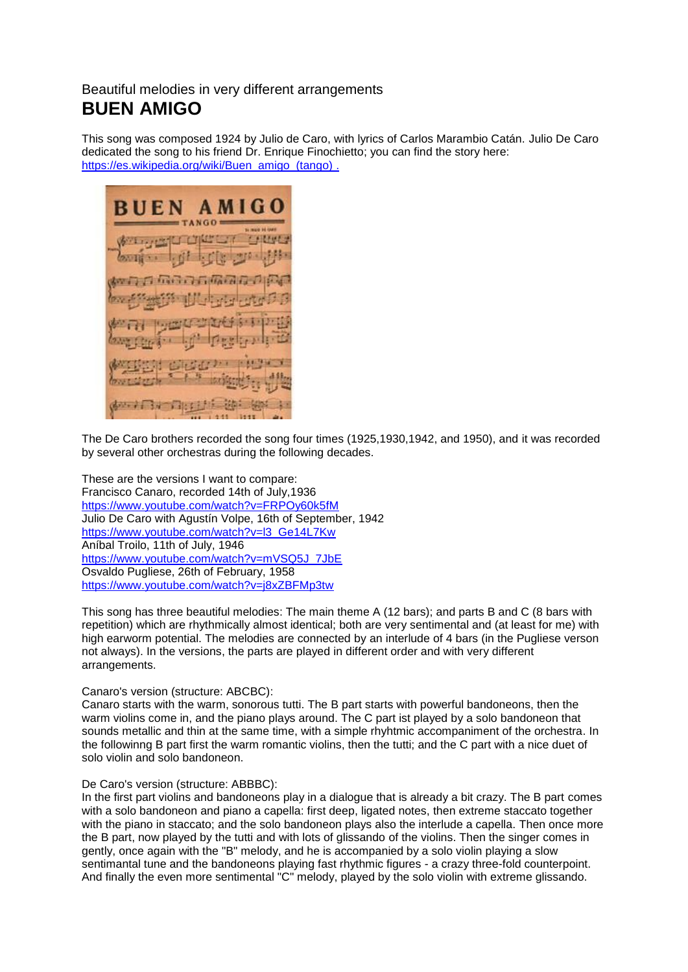# Beautiful melodies in very different arrangements **BUEN AMIGO**

This song was composed 1924 by Julio de Caro, with lyrics of Carlos Marambio Catán. Julio De Caro dedicated the song to his friend Dr. Enrique Finochietto; you can find the story here: [https://es.wikipedia.org/wiki/Buen\\_amigo\\_\(tango\)](https://es.wikipedia.org/wiki/Buen_amigo_(tango)).

A M I C **RUEN** 工程的行业 常识者

The De Caro brothers recorded the song four times (1925,1930,1942, and 1950), and it was recorded by several other orchestras during the following decades.

These are the versions I want to compare: Francisco Canaro, recorded 14th of July,1936 <https://www.youtube.com/watch?v=FRPOy60k5fM> Julio De Caro with Agustín Volpe, 16th of September, 1942 [https://www.youtube.com/watch?v=l3\\_Ge14L7Kw](https://www.youtube.com/watch?v=l3_Ge14L7Kw) Aníbal Troilo, 11th of July, 1946 [https://www.youtube.com/watch?v=mVSQ5J\\_7JbE](https://www.youtube.com/watch?v=mVSQ5J_7JbE) Osvaldo Pugliese, 26th of February, 1958 <https://www.youtube.com/watch?v=j8xZBFMp3tw>

This song has three beautiful melodies: The main theme A (12 bars); and parts B and C (8 bars with repetition) which are rhythmically almost identical; both are very sentimental and (at least for me) with high earworm potential. The melodies are connected by an interlude of 4 bars (in the Pugliese verson not always). In the versions, the parts are played in different order and with very different arrangements.

## Canaro's version (structure: ABCBC):

Canaro starts with the warm, sonorous tutti. The B part starts with powerful bandoneons, then the warm violins come in, and the piano plays around. The C part ist played by a solo bandoneon that sounds metallic and thin at the same time, with a simple rhyhtmic accompaniment of the orchestra. In the followinng B part first the warm romantic violins, then the tutti; and the C part with a nice duet of solo violin and solo bandoneon.

#### De Caro's version (structure: ABBBC):

In the first part violins and bandoneons play in a dialogue that is already a bit crazy. The B part comes with a solo bandoneon and piano a capella: first deep, ligated notes, then extreme staccato together with the piano in staccato; and the solo bandoneon plays also the interlude a capella. Then once more the B part, now played by the tutti and with lots of glissando of the violins. Then the singer comes in gently, once again with the "B" melody, and he is accompanied by a solo violin playing a slow sentimantal tune and the bandoneons playing fast rhythmic figures - a crazy three-fold counterpoint. And finally the even more sentimental "C" melody, played by the solo violin with extreme glissando.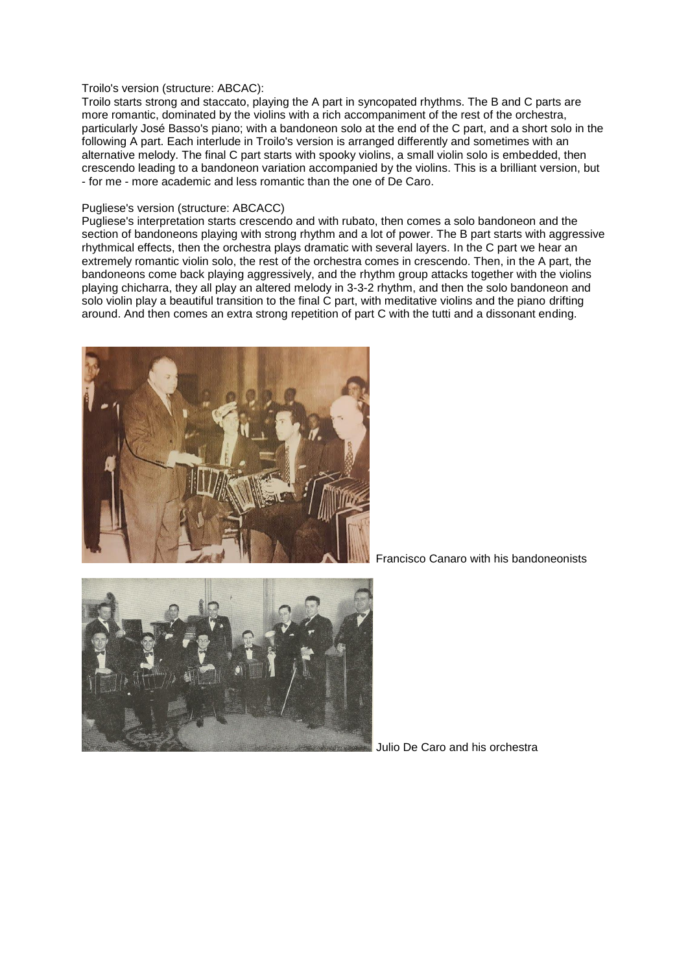#### Troilo's version (structure: ABCAC):

Troilo starts strong and staccato, playing the A part in syncopated rhythms. The B and C parts are more romantic, dominated by the violins with a rich accompaniment of the rest of the orchestra, particularly José Basso's piano; with a bandoneon solo at the end of the C part, and a short solo in the following A part. Each interlude in Troilo's version is arranged differently and sometimes with an alternative melody. The final C part starts with spooky violins, a small violin solo is embedded, then crescendo leading to a bandoneon variation accompanied by the violins. This is a brilliant version, but - for me - more academic and less romantic than the one of De Caro.

### Pugliese's version (structure: ABCACC)

Pugliese's interpretation starts crescendo and with rubato, then comes a solo bandoneon and the section of bandoneons playing with strong rhythm and a lot of power. The B part starts with aggressive rhythmical effects, then the orchestra plays dramatic with several layers. In the C part we hear an extremely romantic violin solo, the rest of the orchestra comes in crescendo. Then, in the A part, the bandoneons come back playing aggressively, and the rhythm group attacks together with the violins playing chicharra, they all play an altered melody in 3-3-2 rhythm, and then the solo bandoneon and solo violin play a beautiful transition to the final C part, with meditative violins and the piano drifting around. And then comes an extra strong repetition of part C with the tutti and a dissonant ending.



Francisco Canaro with his bandoneonists



Julio De Caro and his orchestra